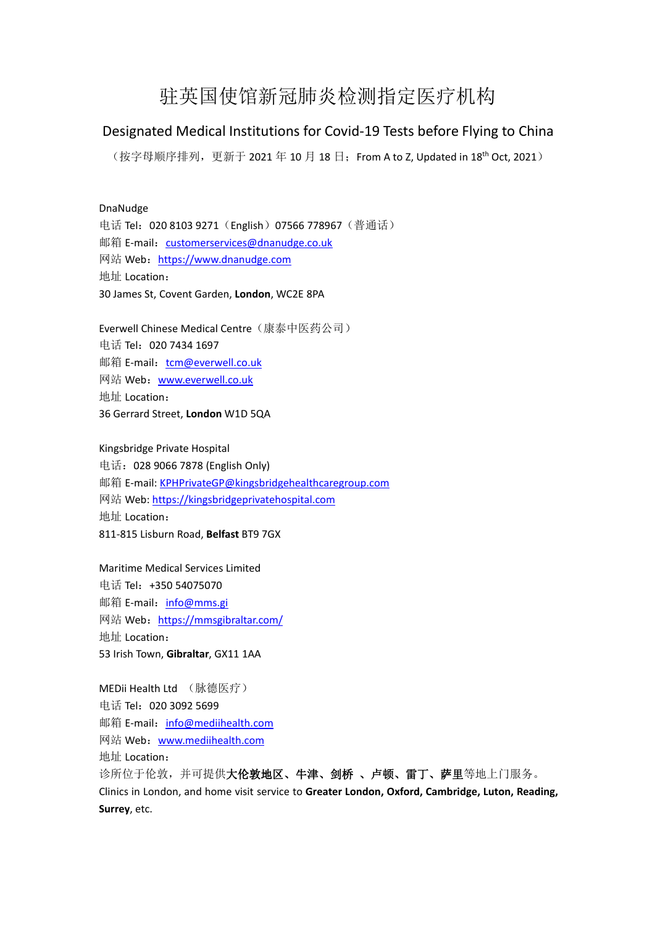## 驻英国使馆新冠肺炎检测指定医疗机构

## Designated Medical Institutions for Covid-19 Tests before Flying to China

(按字母顺序排列,更新于 2021 年 10 月 18 日,From A to Z, Updated in 18<sup>th</sup> Oct, 2021)

## DnaNudge

电话 Tel: 020 8103 9271 (English) 07566 778967 (普通话) 邮箱 E-mail: [customerservices@dnanudge.co.uk](mailto:customerservices@dnanudge.co.uk) 网站 Web: <https://www.dnanudge.com> 地址 Location: 30 James St, Covent Garden, **London**, WC2E 8PA

Everwell Chinese Medical Centre(康泰中医药公司) 电话 Tel:020 7434 1697 邮箱 E-mail: [tcm@everwell.co.uk](mailto:tcm@everwell.co.uk) 网站 Web: [www.everwell.co.uk](http://www.everwell.co.uk) 地址 Location: 36 Gerrard Street, **London** W1D 5QA

Kingsbridge Private Hospital 电话:028 9066 7878 (English Only) 邮箱 E-mail: [KPHPrivateGP@kingsbridgehealthcaregroup.com](mailto:KPHPrivateGP@kingsbridgehealthcaregroup.com) 网站 Web: <https://kingsbridgeprivatehospital.com> 地址 Location: 811-815 Lisburn Road, **Belfast** BT9 7GX

Maritime Medical Services Limited 电话 Tel:+350 54075070 邮箱 E-mail: [info@mms.gi](mailto:info@mms.gi) 网站 Web: <https://mmsgibraltar.com/> 地址 Location: 53 Irish Town, **Gibraltar**, GX11 1AA

MEDii Health Ltd (脉德医疗) 电话 Tel:020 3092 5699 邮箱 E-mail: [info@mediihealth.com](mailto:info@mediihealth.com) 网站 Web:[www.mediihealth.com](http://www.mediihealth.com) 地址 Location: 诊所位于伦敦,并可提供大伦敦地区、牛津、剑桥 、卢顿、雷丁、萨里等地上门服务。 Clinics in London, and home visit service to **Greater London, Oxford, Cambridge, Luton, Reading, Surrey**, etc.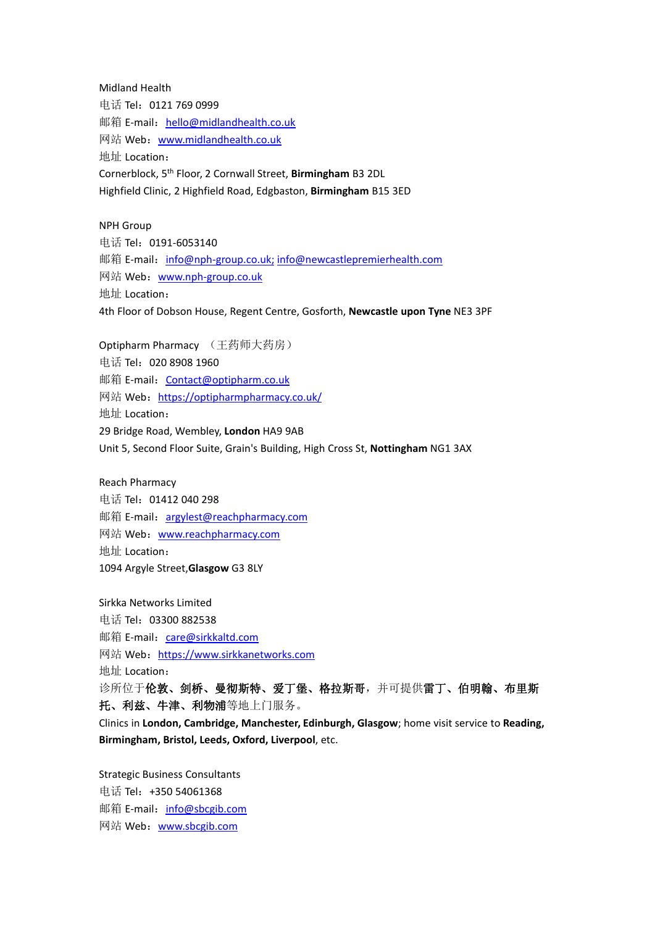Midland Health 电话 Tel:0121 769 0999 邮箱 E-mail: [hello@midlandhealth.co.uk](mailto:hello@midlandhealth.co.uk) 网站 Web: [www.midlandhealth.co.uk](http://www.midlandhealth.co.uk) 地址 Location: Cornerblock, 5 th Floor, 2 Cornwall Street, **Birmingham** B3 2DL Highfield Clinic, 2 Highfield Road, Edgbaston, **Birmingham** B15 3ED

NPH Group 电话 Tel: 0191-6053140 邮箱 E-mail: [info@nph-group.co.uk;](mailto:info@nph-group.co.uk;) [info@newcastlepremierhealth.com](mailto:info@newcastlepremierhealth.com) 网站 Web: [www.nph-group.co.uk](http://www.nph-group.co.uk) 地址 Location: 4th Floor of Dobson House, Regent Centre, Gosforth, **Newcastle upon Tyne** NE3 3PF

Optipharm Pharmacy (王药师大药房) 电话 Tel:020 8908 1960 邮箱 E-mail: [Contact@optipharm.co.uk](mailto:Contact@optipharm.co.uk) 网站 Web: <https://optipharmpharmacy.co.uk/> 地址 Location: 29 Bridge Road, Wembley, **London** HA9 9AB Unit 5, Second Floor Suite, Grain's Building, High Cross St, **Nottingham** NG1 3AX

Reach Pharmacy 电话 Tel:01412 040 298 邮箱 E-mail: [argylest@reachpharmacy.com](mailto:argylest@reachpharmacy.com) 网站 Web: [www.reachpharmacy.com](http://www.reachpharmacy.com) 地址 Location: 1094 Argyle Street,**Glasgow** G3 8LY

Sirkka Networks Limited 电话 Tel:03300 882538 邮箱 E-mail: [care@sirkkaltd.com](mailto:care@sirkkaltd.com) 网站 Web: <https://www.sirkkanetworks.com> 地址 Location: 诊所位于伦敦、剑桥、曼彻斯特、爱丁堡、格拉斯哥,并可提供雷丁、伯明翰、布里斯 托、利兹、牛津、利物浦等地上门服务。 Clinics in **London, Cambridge, Manchester, Edinburgh, Glasgow**; home visit service to **Reading, Birmingham, Bristol, Leeds, Oxford, Liverpool**, etc.

Strategic Business Consultants 电话 Tel: +350 54061368 邮箱 E-mail: [info@sbcgib.com](mailto:info@sbcgib.com) 网站 Web:[www.sbcgib.com](http://www.sbcgib.com)